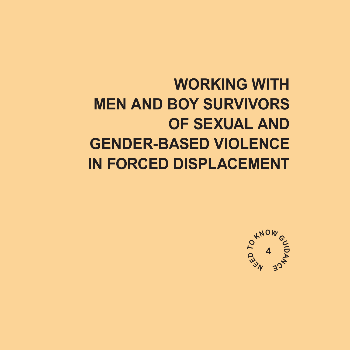## **WORKING WITH MEN AND BOY SURVIVORS OF SEXUAL AND GENDER-BASED VIOLENCE IN FORCED DISPLACEMENT**

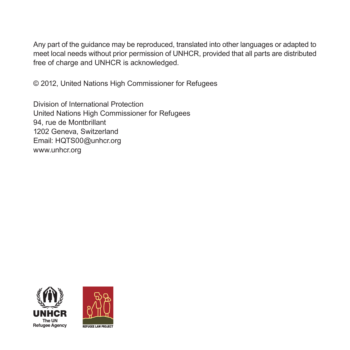Any part of the guidance may be reproduced, translated into other languages or adapted to meet local needs without prior permission of UNHCR, provided that all parts are distributed free of charge and UNHCR is acknowledged.

© 2012, United Nations High Commissioner for Refugees

Division of International Protection United Nations High Commissioner for Refugees 94, rue de Montbrillant 1202 Geneva, Switzerland Email: HQTS00@unhcr.org www.unhcr.org



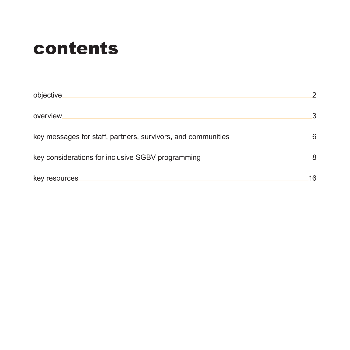# contents

| objective                                                    | 2  |
|--------------------------------------------------------------|----|
| overview                                                     | 3  |
| key messages for staff, partners, survivors, and communities | 6  |
| key considerations for inclusive SGBV programming            | 8  |
| key resources                                                | 16 |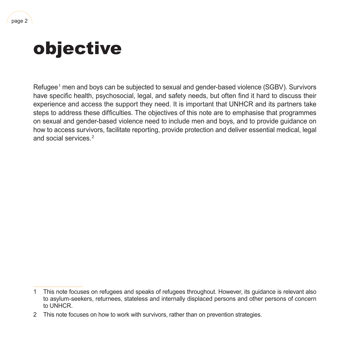# <span id="page-3-0"></span>objective

Refugee1 men and boys can be subjected to sexual and gender-based violence (SGBV). Survivors have specific health, psychosocial, legal, and safety needs, but often find it hard to discuss their experience and access the support they need. It is important that UNHCR and its partners take steps to address these difficulties. The objectives of this note are to emphasise that programmes on sexual and gender‑based violence need to include men and boys, and to provide guidance on how to access survivors, facilitate reporting, provide protection and deliver essential medical, legal and social services.<sup>2</sup>

<sup>1</sup> This note focuses on refugees and speaks of refugees throughout. However, its guidance is relevant also to asylum‑seekers, returnees, stateless and internally displaced persons and other persons of concern to UNHCR.

<sup>2</sup> This note focuses on how to work with survivors, rather than on prevention strategies.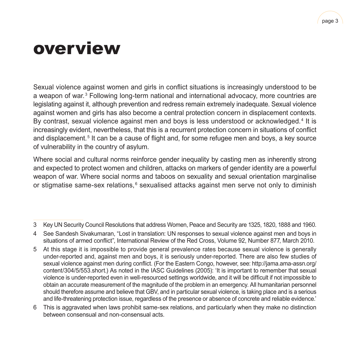## <span id="page-4-0"></span>overview

Sexual violence against women and girls in conflict situations is increasingly understood to be a weapon of war.<sup>3</sup> Following long-term national and international advocacy, more countries are legislating against it, although prevention and redress remain extremely inadequate. Sexual violence against women and girls has also become a central protection concern in displacement contexts. By contrast, sexual violence against men and boys is less understood or acknowledged.<sup>4</sup> It is increasingly evident, nevertheless, that this is a recurrent protection concern in situations of conflict and displacement.<sup>5</sup> It can be a cause of flight and, for some refugee men and boys, a key source of vulnerability in the country of asylum.

Where social and cultural norms reinforce gender inequality by casting men as inherently strong and expected to protect women and children, attacks on markers of gender identity are a powerful weapon of war. Where social norms and taboos on sexuality and sexual orientation marginalise or stigmatise same-sex relations,<sup>6</sup> sexualised attacks against men serve not only to diminish

6 This is aggravated when laws prohibit same‑sex relations, and particularly when they make no distinction between consensual and non‑consensual acts.

<sup>3</sup> Key UN Security Council Resolutions that address Women, Peace and Security are 1325, 1820, 1888 and 1960.

<sup>4</sup> See Sandesh Sivakumaran, "Lost in translation: UN responses to sexual violence against men and boys in situations of armed conflict", International Review of the Red Cross, Volume 92, Number 877, March 2010.

<sup>5</sup> At this stage it is impossible to provide general prevalence rates because sexual violence is generally under‑reported and, against men and boys, it is seriously under‑reported. There are also few studies of sexual violence against men during conflict. (For the Eastern Congo, however, see: http://jama.ama-assn.org/ [content/304/5/553.short.](http://jama.ama-assn.org/content/304/5/553.short)) As noted in the IASC Guidelines (2005): 'It is important to remember that sexual violence is under‑reported even in well‑resourced settings worldwide, and it will be difficult if not impossible to obtain an accurate measurement of the magnitude of the problem in an emergency. All humanitarian personnel should therefore assume and believe that GBV, and in particular sexual violence, is taking place and is a serious and life-threatening protection issue, regardless of the presence or absence of concrete and reliable evidence.'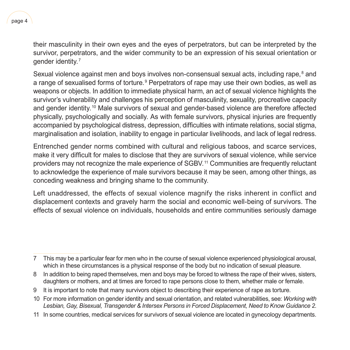their masculinity in their own eyes and the eyes of perpetrators, but can be interpreted by the survivor, perpetrators, and the wider community to be an expression of his sexual orientation or gender identity.<sup>7</sup>

Sexual violence against men and boys involves non-consensual sexual acts, including rape, ${}^{8}$  and a range of sexualised forms of torture.<sup>9</sup> Perpetrators of rape may use their own bodies, as well as weapons or objects. In addition to immediate physical harm, an act of sexual violence highlights the survivor's vulnerability and challenges his perception of masculinity, sexuality, procreative capacity and gender identity.<sup>10</sup> Male survivors of sexual and gender-based violence are therefore affected physically, psychologically and socially. As with female survivors, physical injuries are frequently accompanied by psychological distress, depression, difficulties with intimate relations, social stigma, marginalisation and isolation, inability to engage in particular livelihoods, and lack of legal redress.

Entrenched gender norms combined with cultural and religious taboos, and scarce services, make it very difficult for males to disclose that they are survivors of sexual violence, while service providers may not recognize the male experience of SGBV.<sup>11</sup> Communities are frequently reluctant to acknowledge the experience of male survivors because it may be seen, among other things, as conceding weakness and bringing shame to the community.

Left unaddressed, the effects of sexual violence magnify the risks inherent in conflict and displacement contexts and gravely harm the social and economic well‑being of survivors. The effects of sexual violence on individuals, households and entire communities seriously damage

- 10 For more information on gender identity and sexual orientation, and related vulnerabilities, see: *Working with Lesbian, Gay, Bisexual, Transgender & Intersex Persons in Forced Displacement, Need to Know Guidance 2*.
- 11 In some countries, medical services for survivors of sexual violence are located in gynecology departments.

<sup>7</sup> This may be a particular fear for men who in the course of sexual violence experienced physiological arousal, which in these circumstances is a physical response of the body but no indication of sexual pleasure.

<sup>8</sup> In addition to being raped themselves, men and boys may be forced to witness the rape of their wives, sisters, daughters or mothers, and at times are forced to rape persons close to them, whether male or female.

<sup>9</sup> It is important to note that many survivors object to describing their experience of rape as torture.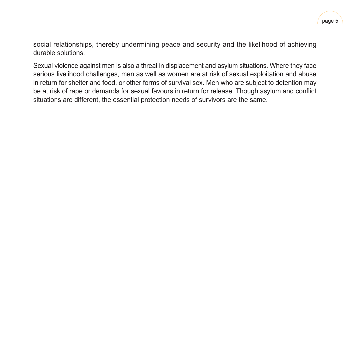social relationships, thereby undermining peace and security and the likelihood of achieving durable solutions.

Sexual violence against men is also a threat in displacement and asylum situations. Where they face serious livelihood challenges, men as well as women are at risk of sexual exploitation and abuse in return for shelter and food, or other forms of survival sex. Men who are subject to detention may be at risk of rape or demands for sexual favours in return for release. Though asylum and conflict situations are different, the essential protection needs of survivors are the same.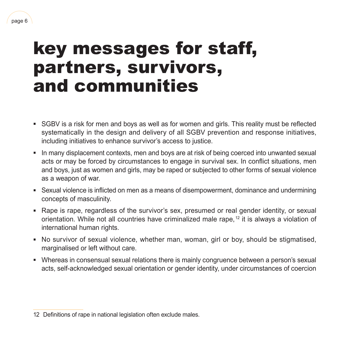## <span id="page-7-0"></span>key messages for staff, partners, survivors, and communities

- SGBV is a risk for men and boys as well as for women and girls. This reality must be reflected systematically in the design and delivery of all SGBV prevention and response initiatives, including initiatives to enhance survivor's access to justice.
- **In many displacement contexts, men and boys are at risk of being coerced into unwanted sexual** acts or may be forced by circumstances to engage in survival sex. In conflict situations, men and boys, just as women and girls, may be raped or subjected to other forms of sexual violence as a weapon of war.
- Sexual violence is inflicted on men as a means of disempowerment, dominance and undermining concepts of masculinity.
- Rape is rape, regardless of the survivor's sex, presumed or real gender identity, or sexual orientation. While not all countries have criminalized male rape, 12 it is always a violation of international human rights.
- No survivor of sexual violence, whether man, woman, girl or boy, should be stigmatised, marginalised or left without care.
- Whereas in consensual sexual relations there is mainly congruence between a person's sexual acts, self‑acknowledged sexual orientation or gender identity, under circumstances of coercion

<sup>12</sup> Definitions of rape in national legislation often exclude males.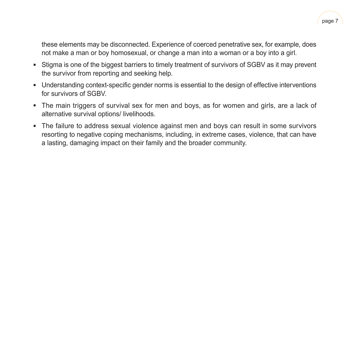these elements may be disconnected. Experience of coerced penetrative sex, for example, does not make a man or boy homosexual, or change a man into a woman or a boy into a girl.

- Stigma is one of the biggest barriers to timely treatment of survivors of SGBV as it may prevent the survivor from reporting and seeking help.
- Understanding context-specific gender norms is essential to the design of effective interventions for survivors of SGBV.
- The main triggers of survival sex for men and boys, as for women and girls, are a lack of alternative survival options/ livelihoods.
- **•** The failure to address sexual violence against men and boys can result in some survivors resorting to negative coping mechanisms, including, in extreme cases, violence, that can have a lasting, damaging impact on their family and the broader community.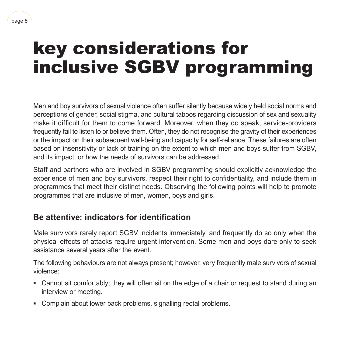# <span id="page-9-0"></span>key considerations for inclusive SGBV programming

Men and boy survivors of sexual violence often suffer silently because widely held social norms and perceptions of gender, social stigma, and cultural taboos regarding discussion of sex and sexuality make it difficult for them to come forward. Moreover, when they do speak, service-providers frequently fail to listen to or believe them. Often, they do not recognise the gravity of their experiences or the impact on their subsequent well-being and capacity for self-reliance. These failures are often based on insensitivity or lack of training on the extent to which men and boys suffer from SGBV, and its impact, or how the needs of survivors can be addressed.

Staff and partners who are involved in SGBV programming should explicitly acknowledge the experience of men and boy survivors, respect their right to confidentiality, and include them in programmes that meet their distinct needs. Observing the following points will help to promote programmes that are inclusive of men, women, boys and girls.

## **Be attentive: indicators for identification**

Male survivors rarely report SGBV incidents immediately, and frequently do so only when the physical effects of attacks require urgent intervention. Some men and boys dare only to seek assistance several years after the event.

The following behaviours are not always present; however, very frequently male survivors of sexual violence:

- Cannot sit comfortably; they will often sit on the edge of a chair or request to stand during an interview or meeting.
- Complain about lower back problems, signalling rectal problems.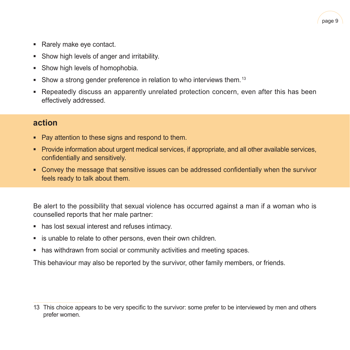

- Rarely make eye contact.
- Show high levels of anger and irritability.
- Show high levels of homophobia.
- Show a strong gender preference in relation to who interviews them.<sup>13</sup>
- Repeatedly discuss an apparently unrelated protection concern, even after this has been effectively addressed.

#### **action**

- Pay attention to these signs and respond to them.
- Provide information about urgent medical services, if appropriate, and all other available services, confidentially and sensitively.
- Convey the message that sensitive issues can be addressed confidentially when the survivor feels ready to talk about them.

Be alert to the possibility that sexual violence has occurred against a man if a woman who is counselled reports that her male partner:

- has lost sexual interest and refuses intimacy.
- is unable to relate to other persons, even their own children.
- has withdrawn from social or community activities and meeting spaces.

This behaviour may also be reported by the survivor, other family members, or friends.

<sup>13</sup> This choice appears to be very specific to the survivor: some prefer to be interviewed by men and others prefer women.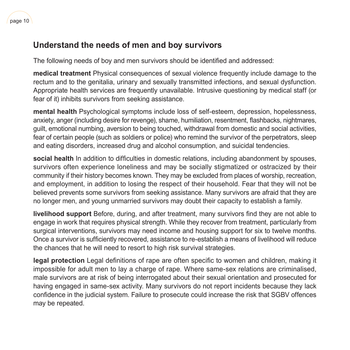### **Understand the needs of men and boy survivors**

The following needs of boy and men survivors should be identified and addressed:

**medical treatment** Physical consequences of sexual violence frequently include damage to the rectum and to the genitalia, urinary and sexually transmitted infections, and sexual dysfunction. Appropriate health services are frequently unavailable. Intrusive questioning by medical staff (or fear of it) inhibits survivors from seeking assistance.

**mental health** Psychological symptoms include loss of self-esteem, depression, hopelessness, anxiety, anger (including desire for revenge), shame, humiliation, resentment, flashbacks, nightmares, guilt, emotional numbing, aversion to being touched, withdrawal from domestic and social activities, fear of certain people (such as soldiers or police) who remind the survivor of the perpetrators, sleep and eating disorders, increased drug and alcohol consumption, and suicidal tendencies.

**social health** In addition to difficulties in domestic relations, including abandonment by spouses, survivors often experience loneliness and may be socially stigmatized or ostracized by their community if their history becomes known. They may be excluded from places of worship, recreation, and employment, in addition to losing the respect of their household. Fear that they will not be believed prevents some survivors from seeking assistance. Many survivors are afraid that they are no longer men, and young unmarried survivors may doubt their capacity to establish a family.

**livelihood support** Before, during, and after treatment, many survivors find they are not able to engage in work that requires physical strength. While they recover from treatment, particularly from surgical interventions, survivors may need income and housing support for six to twelve months. Once a survivor is sufficiently recovered, assistance to re‑establish a means of livelihood will reduce the chances that he will need to resort to high risk survival strategies.

**legal protection** Legal definitions of rape are often specific to women and children, making it impossible for adult men to lay a charge of rape. Where same-sex relations are criminalised, male survivors are at risk of being interrogated about their sexual orientation and prosecuted for having engaged in same‑sex activity. Many survivors do not report incidents because they lack confidence in the judicial system. Failure to prosecute could increase the risk that SGBV offences may be repeated.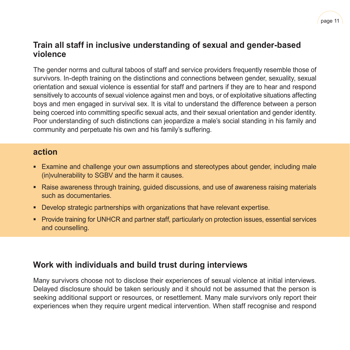### **Train all staff in inclusive understanding of sexual and gender-based violence**

The gender norms and cultural taboos of staff and service providers frequently resemble those of survivors. In-depth training on the distinctions and connections between gender, sexuality, sexual orientation and sexual violence is essential for staff and partners if they are to hear and respond sensitively to accounts of sexual violence against men and boys, or of exploitative situations affecting boys and men engaged in survival sex. It is vital to understand the difference between a person being coerced into committing specific sexual acts, and their sexual orientation and gender identity. Poor understanding of such distinctions can jeopardize a male's social standing in his family and community and perpetuate his own and his family's suffering.

#### **action**

- Examine and challenge your own assumptions and stereotypes about gender, including male (in)vulnerability to SGBV and the harm it causes.
- Raise awareness through training, guided discussions, and use of awareness raising materials such as documentaries.
- Develop strategic partnerships with organizations that have relevant expertise.
- Provide training for UNHCR and partner staff, particularly on protection issues, essential services and counselling.

### **Work with individuals and build trust during interviews**

Many survivors choose not to disclose their experiences of sexual violence at initial interviews. Delayed disclosure should be taken seriously and it should not be assumed that the person is seeking additional support or resources, or resettlement. Many male survivors only report their experiences when they require urgent medical intervention. When staff recognise and respond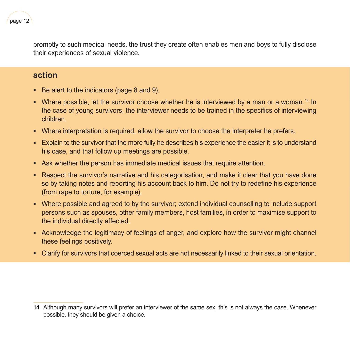promptly to such medical needs, the trust they create often enables men and boys to fully disclose their experiences of sexual violence.

#### **action**

- Be alert to the indicators (page 8 and 9).
- **•** Where possible, let the survivor choose whether he is interviewed by a man or a woman.<sup>14</sup> In the case of young survivors, the interviewer needs to be trained in the specifics of interviewing children.
- Where interpretation is required, allow the survivor to choose the interpreter he prefers.
- Explain to the survivor that the more fully he describes his experience the easier it is to understand his case, and that follow up meetings are possible.
- **E** Ask whether the person has immediate medical issues that require attention.
- Respect the survivor's narrative and his categorisation, and make it clear that you have done so by taking notes and reporting his account back to him. Do not try to redefine his experience (from rape to torture, for example).
- Where possible and agreed to by the survivor; extend individual counselling to include support persons such as spouses, other family members, host families, in order to maximise support to the individual directly affected.
- Acknowledge the legitimacy of feelings of anger, and explore how the survivor might channel these feelings positively.
- Clarify for survivors that coerced sexual acts are not necessarily linked to their sexual orientation.

<sup>14</sup> Although many survivors will prefer an interviewer of the same sex, this is not always the case. Whenever possible, they should be given a choice.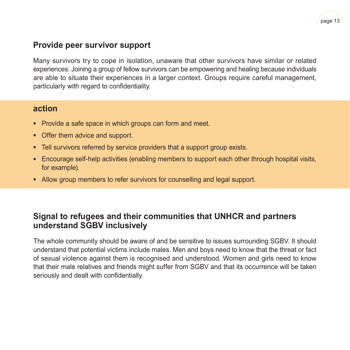

### **Provide peer survivor support**

Many survivors try to cope in isolation, unaware that other survivors have similar or related experiences. Joining a group of fellow survivors can be empowering and healing because individuals are able to situate their experiences in a larger context. Groups require careful management, particularly with regard to confidentiality.

#### **action**

- **Provide a safe space in which groups can form and meet.**
- **Offer them advice and support.**
- **EXECT** Tell survivors referred by service providers that a support group exists.
- Encourage self-help activities (enabling members to support each other through hospital visits, for example).
- **EXECT** Allow group members to refer survivors for counselling and legal support.

### **Signal to refugees and their communities that UNHCR and partners understand SGBV inclusively**

The whole community should be aware of and be sensitive to issues surrounding SGBV. It should understand that potential victims include males. Men and boys need to know that the threat or fact of sexual violence against them is recognised and understood. Women and girls need to know that their male relatives and friends might suffer from SGBV and that its occurrence will be taken seriously and dealt with confidentially.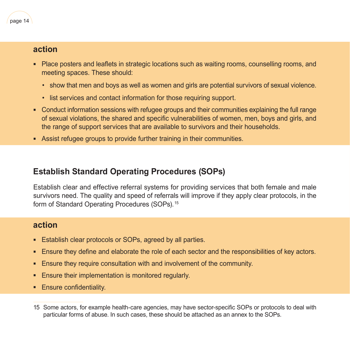#### **action**

- Place posters and leaflets in strategic locations such as waiting rooms, counselling rooms, and meeting spaces. These should:
	- show that men and boys as well as women and girls are potential survivors of sexual violence.
	- list services and contact information for those requiring support.
- Conduct information sessions with refugee groups and their communities explaining the full range of sexual violations, the shared and specific vulnerabilities of women, men, boys and girls, and the range of support services that are available to survivors and their households.
- Assist refugee groups to provide further training in their communities.

## **Establish Standard Operating Procedures (SOPs)**

Establish clear and effective referral systems for providing services that both female and male survivors need. The quality and speed of referrals will improve if they apply clear protocols, in the form of Standard Operating Procedures (SOPs).<sup>15</sup>

### **action**

- **Establish clear protocols or SOPs, agreed by all parties.**
- **Ensure they define and elaborate the role of each sector and the responsibilities of key actors.**
- **Ensure they require consultation with and involvement of the community.**
- **Ensure their implementation is monitored regularly.**
- **Ensure confidentiality.**

<sup>15</sup> Some actors, for example health-care agencies, may have sector-specific SOPs or protocols to deal with particular forms of abuse. In such cases, these should be attached as an annex to the SOPs.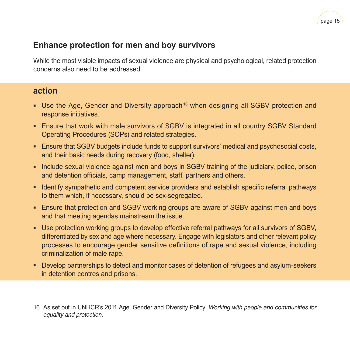

### **Enhance protection for men and boy survivors**

While the most visible impacts of sexual violence are physical and psychological, related protection concerns also need to be addressed.

#### **action**

- Use the Age, Gender and Diversity approach<sup>16</sup> when designing all SGBV protection and response initiatives.
- **Ensure that work with male survivors of SGBV is integrated in all country SGBV Standard** Operating Procedures (SOPs) and related strategies.
- **Ensure that SGBV budgets include funds to support survivors' medical and psychosocial costs,** and their basic needs during recovery (food, shelter).
- **·** Include sexual violence against men and boys in SGBV training of the judiciary, police, prison and detention officials, camp management, staff, partners and others.
- **Identify sympathetic and competent service providers and establish specific referral pathways** to them which, if necessary, should be sex-segregated.
- Ensure that protection and SGBV working groups are aware of SGBV against men and boys and that meeting agendas mainstream the issue.
- Use protection working groups to develop effective referral pathways for all survivors of SGBV, differentiated by sex and age where necessary. Engage with legislators and other relevant policy processes to encourage gender sensitive definitions of rape and sexual violence, including criminalization of male rape.
- Develop partnerships to detect and monitor cases of detention of refugees and asylum-seekers in detention centres and prisons.

<sup>16</sup> As set out in UNHCR's 2011 Age, Gender and Diversity Policy: *Working with people and communities for equality and protection.*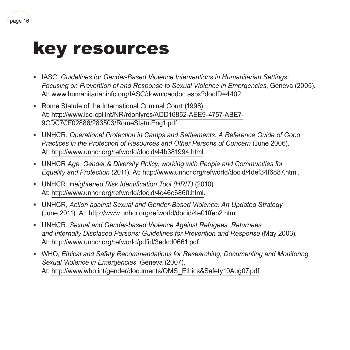## key resources

<span id="page-17-0"></span>page 16

- IASC, *Guidelines for Gender-Based Violence Interventions in Humanitarian Settings: Focusing on Prevention of and Response to Sexual Violence in Emergencies*, Geneva (2005). At: [www.humanitarianinfo.org/IASC/downloaddoc.aspx?docID=4402](http://www.humanitarianinfo.org/IASC/downloaddoc.aspx?docID=4402).
- Rome Statute of the International Criminal Court (1998). At: [http://www.icc-cpi.int/NR/rdonlyres/ADD16852-AEE9-4757-ABE7-](http://www.icc-cpi.int/NR/rdonlyres/ADD16852-AEE9-4757-ABE7-9CDC7CF02886/283503/RomeStatutEng1.pdf)[9CDC7CF02886/283503/RomeStatutEng1.pdf](http://www.icc-cpi.int/NR/rdonlyres/ADD16852-AEE9-4757-ABE7-9CDC7CF02886/283503/RomeStatutEng1.pdf).
- UNHCR, *Operational Protection in Camps and Settlements. A Reference Guide of Good Practices in the Protection of Resources and Other Persons of Concern* (June 2006). At: <http://www.unhcr.org/refworld/docid/44b381994.html>.
- **EXED INDUCA** *Age, Gender & Diversity Policy, working with People and Communities for Equality and Protection* (2011). At: <http://www.unhcr.org/refworld/docid/4def34f6887.html>.
- UNHCR, *Heightened Risk Identification Tool (HRIT)* (2010). At: <http://www.unhcr.org/refworld/docid/4c46c6860.html>.
- **EXED VINHCR,** *Action against Sexual and Gender-Based Violence: An Updated Strategy* (June 2011). At: [http://www.unhcr.org/refworld/docid/4e01ffeb2.html.](http://www.unhcr.org/refworld/docid/4e01ffeb2.html)
- UNHCR, *Sexual and Gender-based Violence Against Refugees, Returnees and Internally Displaced Persons: Guidelines for Prevention and Response* (May 2003). At: <http://www.unhcr.org/refworld/pdfid/3edcd0661.pdf>.
- **WHO, Ethical and Safety Recommendations for Researching, Documenting and Monitoring** *Sexual Violence in Emergencies*, Geneva (2007). At: [http://www.who.int/gender/documents/OMS\\_Ethics&Safety10Aug07.pdf](http://www.who.int/gender/documents/OMS_Ethics&Safety10Aug07.pdf).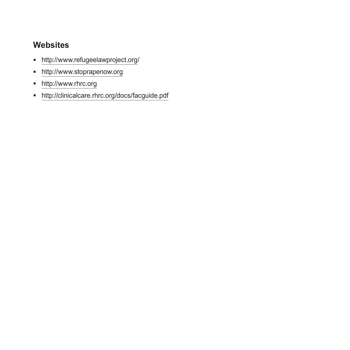## **Websites**

- <http://www.refugeelawproject.org/>
- <http://www.stoprapenow.org>
- <http://www.rhrc.org>
- <http://clinicalcare.rhrc.org/docs/facguide.pdf>